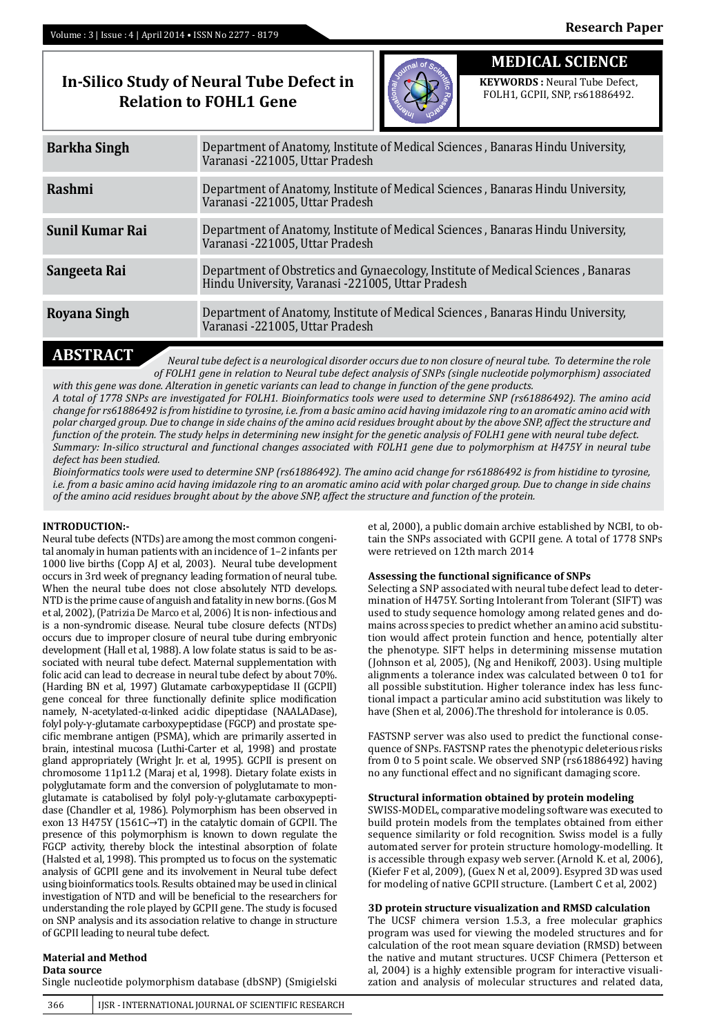## **In-Silico Study of Neural Tube Defect in Relation to FOHL1 Gene**



# **MEDICAL SCIENCE**

**KEYWORDS :** Neural Tube Defect, FOLH1, GCPII, SNP, rs61886492.

| <b>Barkha Singh</b> | Department of Anatomy, Institute of Medical Sciences, Banaras Hindu University,<br>Varanasi -221005, Uttar Pradesh                    |  |  |  |  |
|---------------------|---------------------------------------------------------------------------------------------------------------------------------------|--|--|--|--|
| Rashmi              | Department of Anatomy, Institute of Medical Sciences, Banaras Hindu University,<br>Varanasi -221005, Uttar Pradesh                    |  |  |  |  |
| Sunil Kumar Rai     | Department of Anatomy, Institute of Medical Sciences, Banaras Hindu University,<br>Varanasi -221005, Uttar Pradesh                    |  |  |  |  |
| Sangeeta Rai        | Department of Obstretics and Gynaecology, Institute of Medical Sciences, Banaras<br>Hindu University, Varanasi -221005, Uttar Pradesh |  |  |  |  |
| Royana Singh        | Department of Anatomy, Institute of Medical Sciences, Banaras Hindu University,<br>Varanasi -221005, Uttar Pradesh                    |  |  |  |  |
|                     |                                                                                                                                       |  |  |  |  |

**ABSTRACT** *Neural tube defect is a neurological disorder occurs due to non closure of neural tube. To determine the role of FOLH1 gene in relation to Neural tube defect analysis of SNPs (single nucleotide polymorphism) associated with this gene was done. Alteration in genetic variants can lead to change in function of the gene products.*

*A total of 1778 SNPs are investigated for FOLH1. Bioinformatics tools were used to determine SNP (rs61886492). The amino acid change for rs61886492 is from histidine to tyrosine, i.e. from a basic amino acid having imidazole ring to an aromatic amino acid with polar charged group. Due to change in side chains of the amino acid residues brought about by the above SNP, affect the structure and function of the protein. The study helps in determining new insight for the genetic analysis of FOLH1 gene with neural tube defect. Summary: In-silico structural and functional changes associated with FOLH1 gene due to polymorphism at H475Y in neural tube defect has been studied.* 

*Bioinformatics tools were used to determine SNP (rs61886492). The amino acid change for rs61886492 is from histidine to tyrosine, i.e. from a basic amino acid having imidazole ring to an aromatic amino acid with polar charged group. Due to change in side chains of the amino acid residues brought about by the above SNP, affect the structure and function of the protein.* 

### **INTRODUCTION:-**

Neural tube defects (NTDs) are among the most common congenital anomaly in human patients with an incidence of 1–2 infants per 1000 live births (Copp AJ et al, 2003). Neural tube development occurs in 3rd week of pregnancy leading formation of neural tube. When the neural tube does not close absolutely NTD develops. NTD is the prime cause of anguish and fatality in new borns. (Gos M et al, 2002), (Patrizia De Marco et al, 2006) It is non- infectious and is a non-syndromic disease. Neural tube closure defects (NTDs) occurs due to improper closure of neural tube during embryonic development (Hall et al, 1988). A low folate status is said to be associated with neural tube defect. Maternal supplementation with folic acid can lead to decrease in neural tube defect by about 70%. (Harding BN et al, 1997) Glutamate carboxypeptidase II (GCPII) gene conceal for three functionally definite splice modification namely, N-acetylated-α-linked acidic dipeptidase (NAALADase), folyl poly-γ-glutamate carboxypeptidase (FGCP) and prostate specific membrane antigen (PSMA), which are primarily asserted in brain, intestinal mucosa (Luthi-Carter et al, 1998) and prostate gland appropriately (Wright Jr. et al, 1995). GCPII is present on chromosome 11p11.2 (Maraj et al, 1998). Dietary folate exists in polyglutamate form and the conversion of polyglutamate to monglutamate is catabolised by folyl poly-γ-glutamate carboxypeptidase (Chandler et al, 1986). Polymorphism has been observed in exon 13 H475Y (1561C→T) in the catalytic domain of GCPII. The presence of this polymorphism is known to down regulate the FGCP activity, thereby block the intestinal absorption of folate (Halsted et al, 1998). This prompted us to focus on the systematic analysis of GCPII gene and its involvement in Neural tube defect using bioinformatics tools. Results obtained may be used in clinical investigation of NTD and will be beneficial to the researchers for understanding the role played by GCPII gene. The study is focused on SNP analysis and its association relative to change in structure of GCPII leading to neural tube defect.

### **Material and Method**

**Data source**

Single nucleotide polymorphism database (dbSNP) (Smigielski

et al*,* 2000), a public domain archive established by NCBI, to obtain the SNPs associated with GCPII gene. A total of 1778 SNPs were retrieved on 12th march 2014

#### **Assessing the functional significance of SNPs**

Selecting a SNP associated with neural tube defect lead to determination of H475Y. Sorting Intolerant from Tolerant (SIFT) was used to study sequence homology among related genes and domains across species to predict whether an amino acid substitution would affect protein function and hence, potentially alter the phenotype. SIFT helps in determining missense mutation (Johnson et al*,* 2005), (Ng and Henikoff, 2003). Using multiple alignments a tolerance index was calculated between 0 to1 for all possible substitution. Higher tolerance index has less functional impact a particular amino acid substitution was likely to have (Shen et al*,* 2006).The threshold for intolerance is 0.05.

FASTSNP server was also used to predict the functional consequence of SNPs. FASTSNP rates the phenotypic deleterious risks from 0 to 5 point scale. We observed SNP (rs61886492) having no any functional effect and no significant damaging score.

#### **Structural information obtained by protein modeling**

SWISS-MODEL, comparative modeling software was executed to build protein models from the templates obtained from either sequence similarity or fold recognition. Swiss model is a fully automated server for protein structure homology-modelling. It is accessible through expasy web server. (Arnold K. et al, 2006), (Kiefer F et al, 2009), (Guex N et al, 2009). Esypred 3D was used for modeling of native GCPII structure. (Lambert C et al, 2002)

#### **3D protein structure visualization and RMSD calculation**

The UCSF chimera version 1.5.3, a free molecular graphics program was used for viewing the modeled structures and for calculation of the root mean square deviation (RMSD) between the native and mutant structures. UCSF Chimera (Petterson et al, 2004) is a highly extensible program for interactive visualization and analysis of molecular structures and related data,